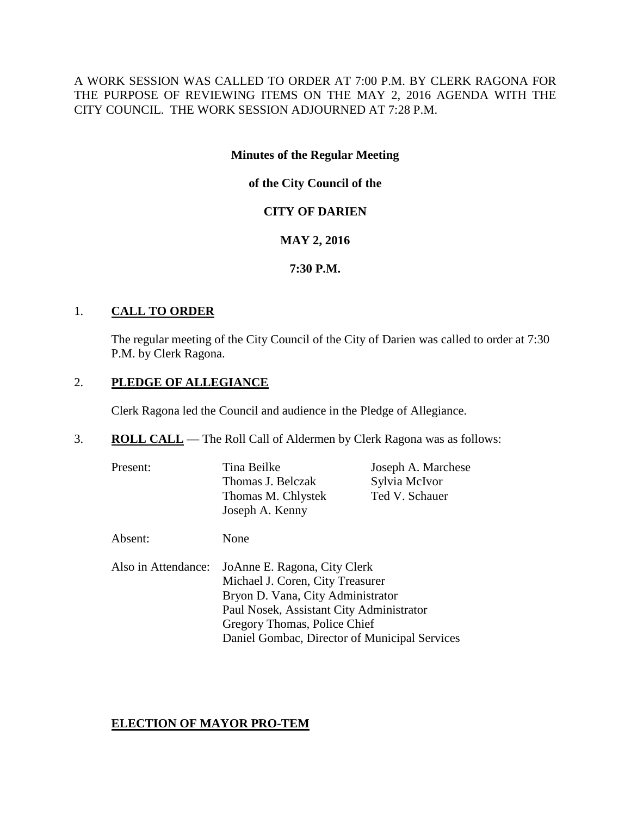A WORK SESSION WAS CALLED TO ORDER AT 7:00 P.M. BY CLERK RAGONA FOR THE PURPOSE OF REVIEWING ITEMS ON THE MAY 2, 2016 AGENDA WITH THE CITY COUNCIL. THE WORK SESSION ADJOURNED AT 7:28 P.M.

# **Minutes of the Regular Meeting**

**of the City Council of the**

# **CITY OF DARIEN**

# **MAY 2, 2016**

**7:30 P.M.**

# 1. **CALL TO ORDER**

The regular meeting of the City Council of the City of Darien was called to order at 7:30 P.M. by Clerk Ragona.

# 2. **PLEDGE OF ALLEGIANCE**

Clerk Ragona led the Council and audience in the Pledge of Allegiance.

- 3. **ROLL CALL** The Roll Call of Aldermen by Clerk Ragona was as follows:
	- Present: Tina Beilke Joseph A. Marchese Thomas J. Belczak Sylvia McIvor Thomas M. Chlystek Ted V. Schauer Joseph A. Kenny Absent: None Also in Attendance: JoAnne E. Ragona, City Clerk Michael J. Coren, City Treasurer Bryon D. Vana, City Administrator Paul Nosek, Assistant City Administrator Gregory Thomas, Police Chief Daniel Gombac, Director of Municipal Services

# **ELECTION OF MAYOR PRO-TEM**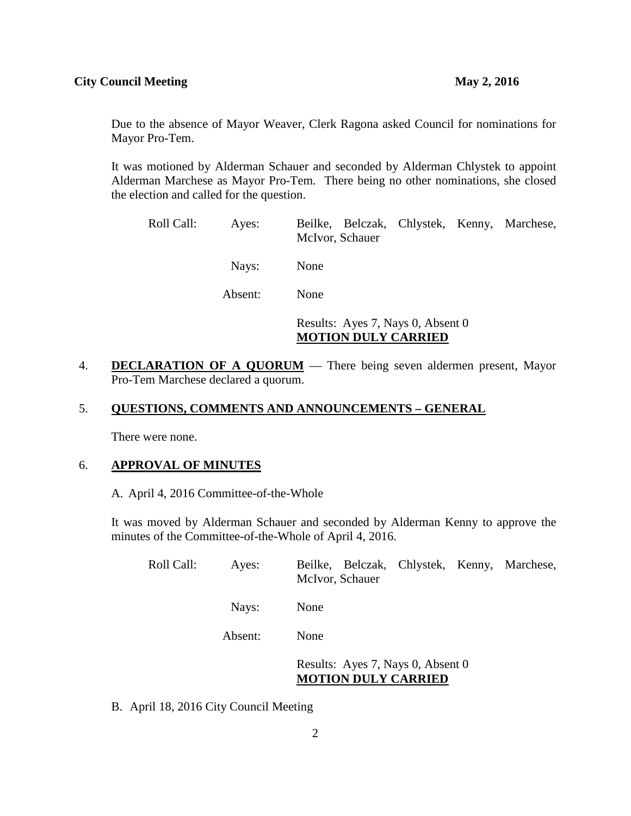Due to the absence of Mayor Weaver, Clerk Ragona asked Council for nominations for Mayor Pro-Tem.

It was motioned by Alderman Schauer and seconded by Alderman Chlystek to appoint Alderman Marchese as Mayor Pro-Tem. There being no other nominations, she closed the election and called for the question.

| Roll Call: | Ayes: | Beilke, Belczak, Chlystek, Kenny, Marchese,<br>McIvor, Schauer |
|------------|-------|----------------------------------------------------------------|
|            | Nays: | None                                                           |
| Absent:    |       | None                                                           |
|            |       | Results: Ayes 7, Nays 0, Absent 0                              |

**MOTION DULY CARRIED**

4. **DECLARATION OF A QUORUM** — There being seven aldermen present, Mayor Pro-Tem Marchese declared a quorum.

# 5. **QUESTIONS, COMMENTS AND ANNOUNCEMENTS – GENERAL**

There were none.

## 6. **APPROVAL OF MINUTES**

A. April 4, 2016 Committee-of-the-Whole

It was moved by Alderman Schauer and seconded by Alderman Kenny to approve the minutes of the Committee-of-the-Whole of April 4, 2016.

| Roll Call: | Ayes:   | Beilke, Belczak, Chlystek, Kenny, Marchese,<br>McIvor, Schauer  |
|------------|---------|-----------------------------------------------------------------|
|            | Nays:   | None                                                            |
|            | Absent: | None                                                            |
|            |         | Results: Ayes 7, Nays 0, Absent 0<br><b>MOTION DULY CARRIED</b> |

B. April 18, 2016 City Council Meeting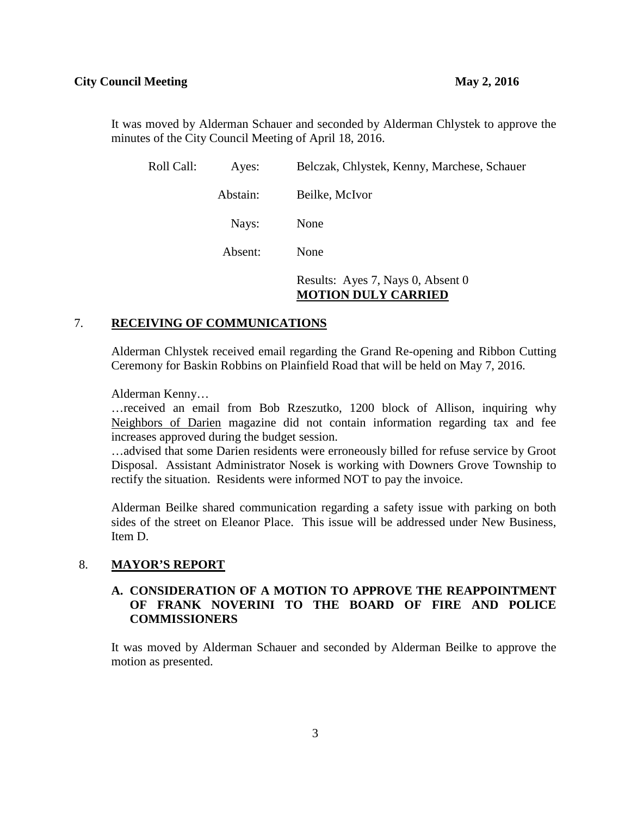It was moved by Alderman Schauer and seconded by Alderman Chlystek to approve the minutes of the City Council Meeting of April 18, 2016.

| Roll Call: | Ayes:    | Belczak, Chlystek, Kenny, Marchese, Schauer                     |  |
|------------|----------|-----------------------------------------------------------------|--|
|            | Abstain: | Beilke, McIvor                                                  |  |
|            | Nays:    | None                                                            |  |
|            | Absent:  | None                                                            |  |
|            |          | Results: Ayes 7, Nays 0, Absent 0<br><b>MOTION DULY CARRIED</b> |  |

## 7. **RECEIVING OF COMMUNICATIONS**

Alderman Chlystek received email regarding the Grand Re-opening and Ribbon Cutting Ceremony for Baskin Robbins on Plainfield Road that will be held on May 7, 2016.

Alderman Kenny…

…received an email from Bob Rzeszutko, 1200 block of Allison, inquiring why Neighbors of Darien magazine did not contain information regarding tax and fee increases approved during the budget session.

…advised that some Darien residents were erroneously billed for refuse service by Groot Disposal. Assistant Administrator Nosek is working with Downers Grove Township to rectify the situation. Residents were informed NOT to pay the invoice.

Alderman Beilke shared communication regarding a safety issue with parking on both sides of the street on Eleanor Place. This issue will be addressed under New Business, Item D.

## 8. **MAYOR'S REPORT**

## **A. CONSIDERATION OF A MOTION TO APPROVE THE REAPPOINTMENT OF FRANK NOVERINI TO THE BOARD OF FIRE AND POLICE COMMISSIONERS**

It was moved by Alderman Schauer and seconded by Alderman Beilke to approve the motion as presented.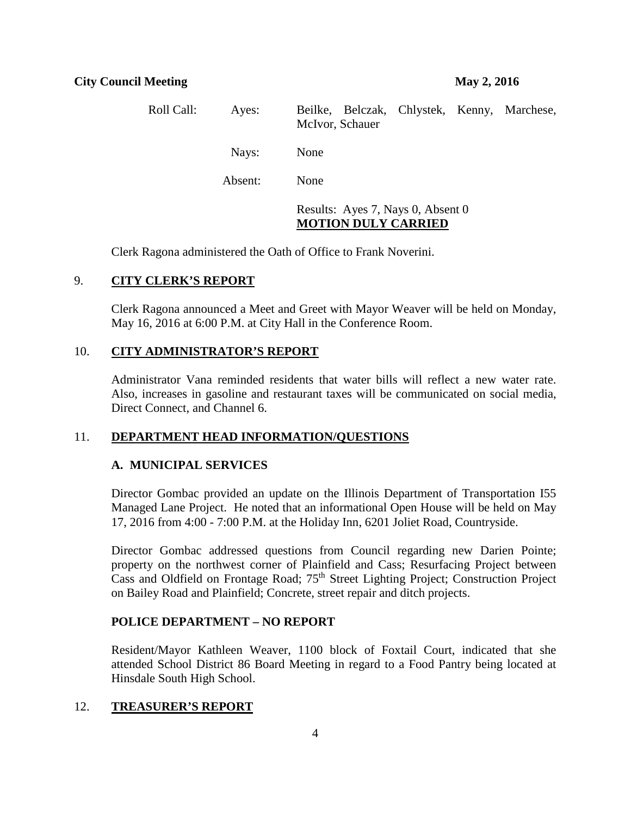| Roll Call: | Ayes:   | Beilke, Belczak, Chlystek, Kenny, Marchese,<br>McIvor, Schauer  |  |
|------------|---------|-----------------------------------------------------------------|--|
|            | Nays:   | None                                                            |  |
|            | Absent: | None                                                            |  |
|            |         | Results: Ayes 7, Nays 0, Absent 0<br><b>MOTION DULY CARRIED</b> |  |

Clerk Ragona administered the Oath of Office to Frank Noverini.

# 9. **CITY CLERK'S REPORT**

Clerk Ragona announced a Meet and Greet with Mayor Weaver will be held on Monday, May 16, 2016 at 6:00 P.M. at City Hall in the Conference Room.

## 10. **CITY ADMINISTRATOR'S REPORT**

Administrator Vana reminded residents that water bills will reflect a new water rate. Also, increases in gasoline and restaurant taxes will be communicated on social media, Direct Connect, and Channel 6.

## 11. **DEPARTMENT HEAD INFORMATION/QUESTIONS**

## **A. MUNICIPAL SERVICES**

Director Gombac provided an update on the Illinois Department of Transportation I55 Managed Lane Project. He noted that an informational Open House will be held on May 17, 2016 from 4:00 - 7:00 P.M. at the Holiday Inn, 6201 Joliet Road, Countryside.

Director Gombac addressed questions from Council regarding new Darien Pointe; property on the northwest corner of Plainfield and Cass; Resurfacing Project between Cass and Oldfield on Frontage Road; 75th Street Lighting Project; Construction Project on Bailey Road and Plainfield; Concrete, street repair and ditch projects.

## **POLICE DEPARTMENT – NO REPORT**

Resident/Mayor Kathleen Weaver, 1100 block of Foxtail Court, indicated that she attended School District 86 Board Meeting in regard to a Food Pantry being located at Hinsdale South High School.

## 12. **TREASURER'S REPORT**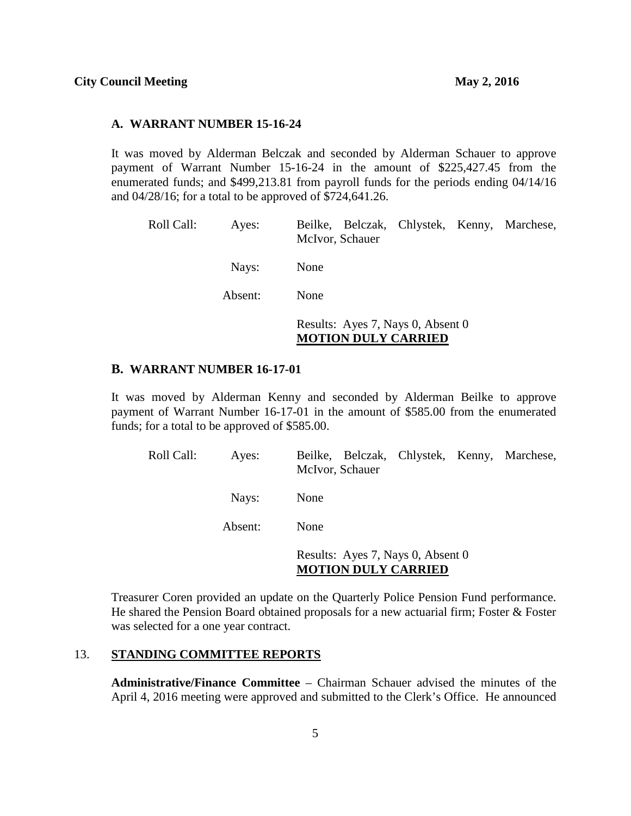#### **A. WARRANT NUMBER 15-16-24**

It was moved by Alderman Belczak and seconded by Alderman Schauer to approve payment of Warrant Number 15-16-24 in the amount of \$225,427.45 from the enumerated funds; and \$499,213.81 from payroll funds for the periods ending 04/14/16 and 04/28/16; for a total to be approved of \$724,641.26.

| Roll Call: | Ayes: | Beilke, Belczak, Chlystek, Kenny, Marchese,<br>McIvor, Schauer |  |
|------------|-------|----------------------------------------------------------------|--|
|            | Nays: | None                                                           |  |
| Absent:    | None  |                                                                |  |
|            |       | Results: Ayes 7, Nays 0, Absent 0                              |  |

**MOTION DULY CARRIED**

#### **B. WARRANT NUMBER 16-17-01**

It was moved by Alderman Kenny and seconded by Alderman Beilke to approve payment of Warrant Number 16-17-01 in the amount of \$585.00 from the enumerated funds; for a total to be approved of \$585.00.

| Roll Call: | Ayes:   | Beilke, Belczak, Chlystek, Kenny, Marchese,<br>McIvor, Schauer  |
|------------|---------|-----------------------------------------------------------------|
|            | Nays:   | None                                                            |
|            | Absent: | None                                                            |
|            |         | Results: Ayes 7, Nays 0, Absent 0<br><b>MOTION DULY CARRIED</b> |

Treasurer Coren provided an update on the Quarterly Police Pension Fund performance. He shared the Pension Board obtained proposals for a new actuarial firm; Foster & Foster was selected for a one year contract.

## 13. **STANDING COMMITTEE REPORTS**

**Administrative/Finance Committee** – Chairman Schauer advised the minutes of the April 4, 2016 meeting were approved and submitted to the Clerk's Office. He announced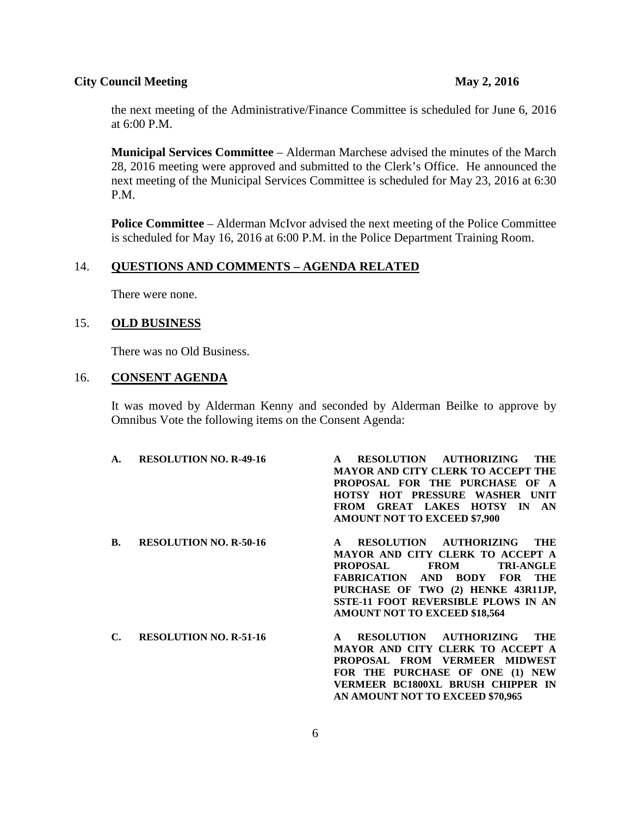the next meeting of the Administrative/Finance Committee is scheduled for June 6, 2016 at 6:00 P.M.

**Municipal Services Committee** – Alderman Marchese advised the minutes of the March 28, 2016 meeting were approved and submitted to the Clerk's Office. He announced the next meeting of the Municipal Services Committee is scheduled for May 23, 2016 at 6:30 P.M.

**Police Committee** – Alderman McIvor advised the next meeting of the Police Committee is scheduled for May 16, 2016 at 6:00 P.M. in the Police Department Training Room.

## 14. **QUESTIONS AND COMMENTS – AGENDA RELATED**

There were none.

## 15. **OLD BUSINESS**

There was no Old Business.

### 16. **CONSENT AGENDA**

It was moved by Alderman Kenny and seconded by Alderman Beilke to approve by Omnibus Vote the following items on the Consent Agenda:

| A. | <b>RESOLUTION NO. R-49-16</b> | RESOLUTION AUTHORIZING<br>THE<br><b>MAYOR AND CITY CLERK TO ACCEPT THE</b><br>PROPOSAL FOR THE PURCHASE OF A<br>HOTSY HOT PRESSURE WASHER UNIT<br><b>GREAT LAKES HOTSY IN</b><br>AN<br><b>FROM</b><br><b>AMOUNT NOT TO EXCEED \$7,900</b>                                                     |
|----|-------------------------------|-----------------------------------------------------------------------------------------------------------------------------------------------------------------------------------------------------------------------------------------------------------------------------------------------|
| В. | <b>RESOLUTION NO. R-50-16</b> | RESOLUTION AUTHORIZING<br>THE<br>MAYOR AND CITY CLERK TO ACCEPT A<br><b>TRI-ANGLE</b><br><b>PROPOSAL</b><br><b>FROM</b><br><b>FABRICATION AND BODY FOR</b><br><b>THE</b><br>PURCHASE OF TWO (2) HENKE 43R11JP,<br>SSTE-11 FOOT REVERSIBLE PLOWS IN AN<br><b>AMOUNT NOT TO EXCEED \$18,564</b> |
| С. | <b>RESOLUTION NO. R-51-16</b> | RESOLUTION AUTHORIZING<br>THE<br>$\mathbf{A}$<br>MAYOR AND CITY CLERK TO ACCEPT A<br>PROPOSAL FROM VERMEER MIDWEST<br>FOR THE PURCHASE OF ONE (1) NEW<br>VERMEER BC1800XL BRUSH CHIPPER IN<br>AN AMOUNT NOT TO EXCEED \$70,965                                                                |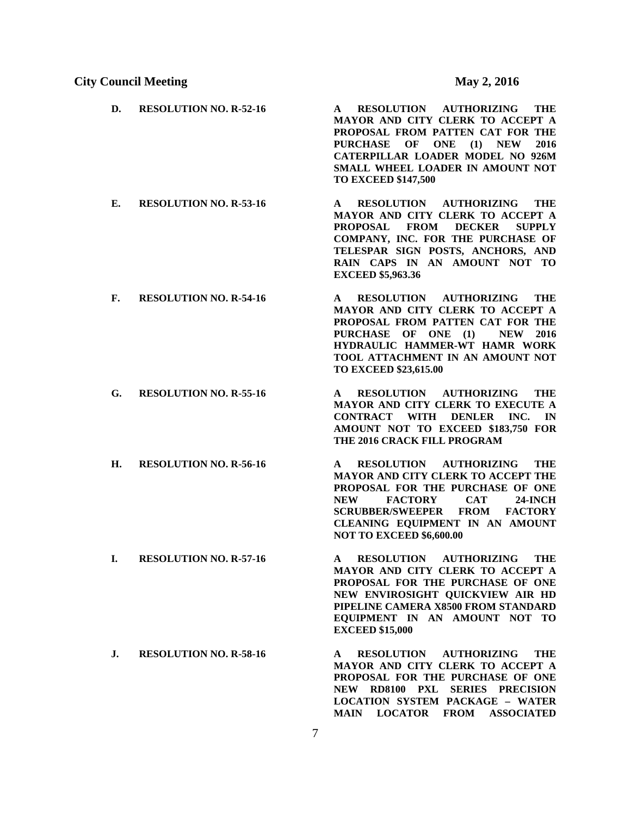- **D. RESOLUTION NO. R-52-16 A RESOLUTION AUTHORIZING THE MAYOR AND CITY CLERK TO ACCEPT A PROPOSAL FROM PATTEN CAT FOR THE PURCHASE OF ONE (1) NEW 2016 CATERPILLAR LOADER MODEL NO 926M SMALL WHEEL LOADER IN AMOUNT NOT TO EXCEED \$147,500 E. RESOLUTION NO. R-53-16 A RESOLUTION AUTHORIZING THE MAYOR AND CITY CLERK TO ACCEPT A PROPOSAL FROM DECKER SUPPLY COMPANY, INC. FOR THE PURCHASE OF TELESPAR SIGN POSTS, ANCHORS, AND RAIN CAPS IN AN AMOUNT NOT TO EXCEED \$5,963.36 F. RESOLUTION NO. R-54-16 A RESOLUTION AUTHORIZING THE MAYOR AND CITY CLERK TO ACCEPT A PROPOSAL FROM PATTEN CAT FOR THE PURCHASE OF ONE (1) NEW 2016 HYDRAULIC HAMMER-WT HAMR WORK TOOL ATTACHMENT IN AN AMOUNT NOT TO EXCEED \$23,615.00**
- **G. RESOLUTION NO. R-55-16 A RESOLUTION AUTHORIZING THE MAYOR AND CITY CLERK TO EXECUTE A CONTRACT WITH DENLER INC. IN AMOUNT NOT TO EXCEED \$183,750 FOR THE 2016 CRACK FILL PROGRAM**
- **H. RESOLUTION NO. R-56-16 A RESOLUTION AUTHORIZING THE MAYOR AND CITY CLERK TO ACCEPT THE PROPOSAL FOR THE PURCHASE OF ONE NEW FACTORY CAT 24-INCH SCRUBBER/SWEEPER FROM FACTORY CLEANING EQUIPMENT IN AN AMOUNT NOT TO EXCEED \$6,600.00**
- **I. RESOLUTION NO. R-57-16 A RESOLUTION AUTHORIZING THE MAYOR AND CITY CLERK TO ACCEPT A PROPOSAL FOR THE PURCHASE OF ONE NEW ENVIROSIGHT QUICKVIEW AIR HD PIPELINE CAMERA X8500 FROM STANDARD EQUIPMENT IN AN AMOUNT NOT TO EXCEED \$15,000**
- **J. RESOLUTION NO. R-58-16 A RESOLUTION AUTHORIZING THE MAYOR AND CITY CLERK TO ACCEPT A PROPOSAL FOR THE PURCHASE OF ONE NEW RD8100 PXL SERIES PRECISION LOCATION SYSTEM PACKAGE – WATER MAIN LOCATOR FROM ASSOCIATED**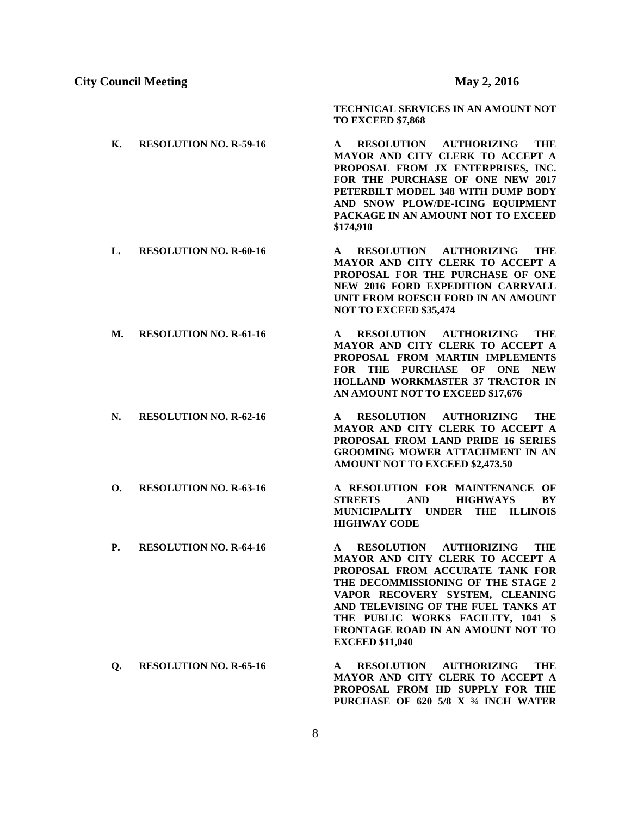**TECHNICAL SERVICES IN AN AMOUNT NOT TO EXCEED \$7,868**

- **K. RESOLUTION NO. R-59-16 A RESOLUTION AUTHORIZING THE MAYOR AND CITY CLERK TO ACCEPT A PROPOSAL FROM JX ENTERPRISES, INC. FOR THE PURCHASE OF ONE NEW 2017 PETERBILT MODEL 348 WITH DUMP BODY AND SNOW PLOW/DE-ICING EQUIPMENT PACKAGE IN AN AMOUNT NOT TO EXCEED \$174,910**
- **L. RESOLUTION NO. R-60-16 A RESOLUTION AUTHORIZING THE MAYOR AND CITY CLERK TO ACCEPT A PROPOSAL FOR THE PURCHASE OF ONE NEW 2016 FORD EXPEDITION CARRYALL UNIT FROM ROESCH FORD IN AN AMOUNT NOT TO EXCEED \$35,474**
- **M. RESOLUTION NO. R-61-16 A RESOLUTION AUTHORIZING THE MAYOR AND CITY CLERK TO ACCEPT A PROPOSAL FROM MARTIN IMPLEMENTS FOR THE PURCHASE OF ONE NEW HOLLAND WORKMASTER 37 TRACTOR IN AN AMOUNT NOT TO EXCEED \$17,676**
- **N. RESOLUTION NO. R-62-16 A RESOLUTION AUTHORIZING THE MAYOR AND CITY CLERK TO ACCEPT A PROPOSAL FROM LAND PRIDE 16 SERIES GROOMING MOWER ATTACHMENT IN AN AMOUNT NOT TO EXCEED \$2,473.50**
- **O. RESOLUTION NO. R-63-16 A RESOLUTION FOR MAINTENANCE OF STREETS AND HIGHWAYS BY MUNICIPALITY UNDER THE ILLINOIS HIGHWAY CODE**
- **P. RESOLUTION NO. R-64-16 A RESOLUTION AUTHORIZING THE MAYOR AND CITY CLERK TO ACCEPT A PROPOSAL FROM ACCURATE TANK FOR THE DECOMMISSIONING OF THE STAGE 2 VAPOR RECOVERY SYSTEM, CLEANING AND TELEVISING OF THE FUEL TANKS AT THE PUBLIC WORKS FACILITY, 1041 S FRONTAGE ROAD IN AN AMOUNT NOT TO EXCEED \$11,040**
- **Q. RESOLUTION NO. R-65-16 A RESOLUTION AUTHORIZING THE MAYOR AND CITY CLERK TO ACCEPT A PROPOSAL FROM HD SUPPLY FOR THE PURCHASE OF 620 5/8 X ¾ INCH WATER**
- 
- 
-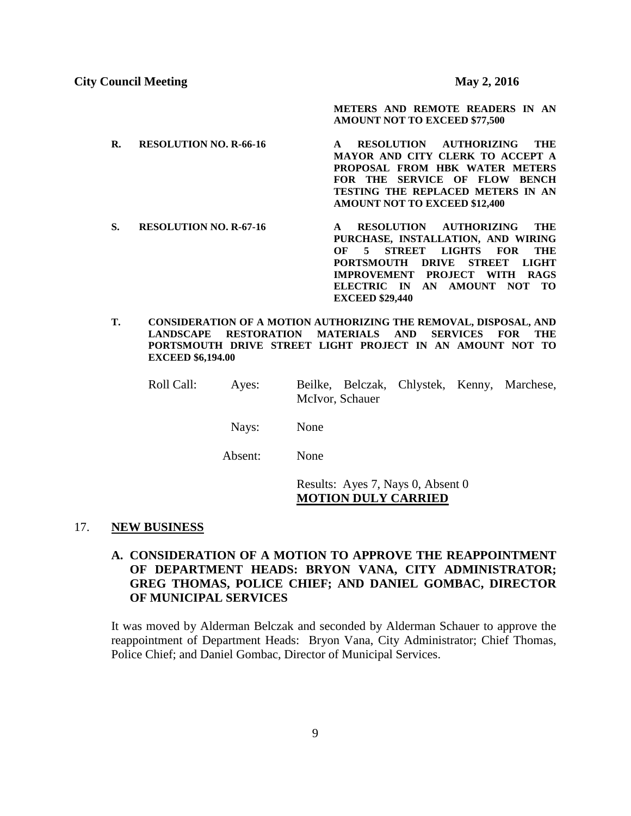**METERS AND REMOTE READERS IN AN AMOUNT NOT TO EXCEED \$77,500**

- **R. RESOLUTION NO. R-66-16 A RESOLUTION AUTHORIZING THE MAYOR AND CITY CLERK TO ACCEPT A PROPOSAL FROM HBK WATER METERS FOR THE SERVICE OF FLOW BENCH TESTING THE REPLACED METERS IN AN AMOUNT NOT TO EXCEED \$12,400**
- **S. RESOLUTION NO. R-67-16 A RESOLUTION AUTHORIZING THE PURCHASE, INSTALLATION, AND WIRING OF 5 STREET LIGHTS FOR THE PORTSMOUTH DRIVE STREET LIGHT IMPROVEMENT PROJECT WITH RAGS ELECTRIC IN AN AMOUNT NOT TO EXCEED \$29,440**
- **T. CONSIDERATION OF A MOTION AUTHORIZING THE REMOVAL, DISPOSAL, AND LANDSCAPE RESTORATION MATERIALS AND SERVICES FOR THE PORTSMOUTH DRIVE STREET LIGHT PROJECT IN AN AMOUNT NOT TO EXCEED \$6,194.00**
	- Roll Call: Ayes: Beilke, Belczak, Chlystek, Kenny, Marchese, McIvor, Schauer

Nays: None

Absent: None

Results: Ayes 7, Nays 0, Absent 0 **MOTION DULY CARRIED**

## 17. **NEW BUSINESS**

# **A. CONSIDERATION OF A MOTION TO APPROVE THE REAPPOINTMENT OF DEPARTMENT HEADS: BRYON VANA, CITY ADMINISTRATOR; GREG THOMAS, POLICE CHIEF; AND DANIEL GOMBAC, DIRECTOR OF MUNICIPAL SERVICES**

It was moved by Alderman Belczak and seconded by Alderman Schauer to approve the reappointment of Department Heads: Bryon Vana, City Administrator; Chief Thomas, Police Chief; and Daniel Gombac, Director of Municipal Services.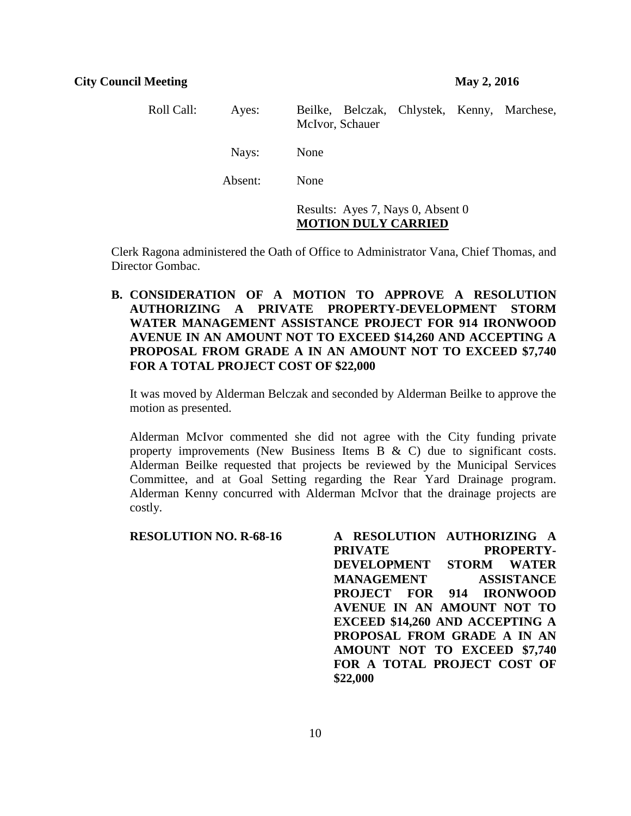| Roll Call: | Ayes:   | Beilke, Belczak, Chlystek, Kenny, Marchese,<br>McIvor, Schauer  |  |
|------------|---------|-----------------------------------------------------------------|--|
|            | Nays:   | None                                                            |  |
|            | Absent: | None                                                            |  |
|            |         | Results: Ayes 7, Nays 0, Absent 0<br><b>MOTION DULY CARRIED</b> |  |

Clerk Ragona administered the Oath of Office to Administrator Vana, Chief Thomas, and Director Gombac.

**B. CONSIDERATION OF A MOTION TO APPROVE A RESOLUTION AUTHORIZING A PRIVATE PROPERTY-DEVELOPMENT STORM WATER MANAGEMENT ASSISTANCE PROJECT FOR 914 IRONWOOD AVENUE IN AN AMOUNT NOT TO EXCEED \$14,260 AND ACCEPTING A PROPOSAL FROM GRADE A IN AN AMOUNT NOT TO EXCEED \$7,740 FOR A TOTAL PROJECT COST OF \$22,000**

It was moved by Alderman Belczak and seconded by Alderman Beilke to approve the motion as presented.

Alderman McIvor commented she did not agree with the City funding private property improvements (New Business Items B  $\&$  C) due to significant costs. Alderman Beilke requested that projects be reviewed by the Municipal Services Committee, and at Goal Setting regarding the Rear Yard Drainage program. Alderman Kenny concurred with Alderman McIvor that the drainage projects are costly.

| <b>RESOLUTION NO. R-68-16</b> | A RESOLUTION AUTHORIZING A             |
|-------------------------------|----------------------------------------|
|                               | <b>PRIVATE</b><br><b>PROPERTY-</b>     |
|                               | DEVELOPMENT STORM WATER                |
|                               | <b>MANAGEMENT</b><br><b>ASSISTANCE</b> |
|                               | <b>PROJECT FOR 914 IRONWOOD</b>        |
|                               | AVENUE IN AN AMOUNT NOT TO             |
|                               | <b>EXCEED \$14,260 AND ACCEPTING A</b> |
|                               | PROPOSAL FROM GRADE A IN AN            |
|                               | AMOUNT NOT TO EXCEED \$7,740           |
|                               | FOR A TOTAL PROJECT COST OF            |
|                               | \$22,000                               |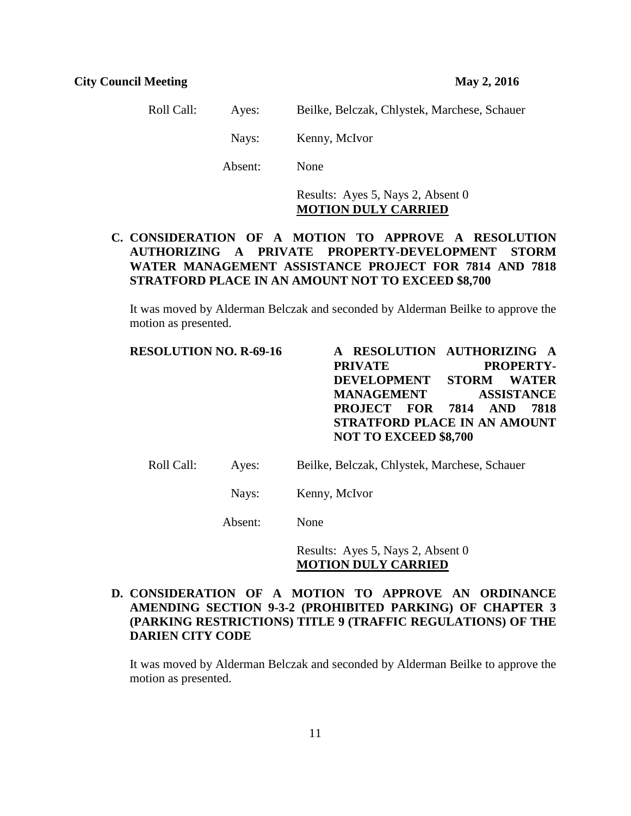Roll Call: Ayes: Beilke, Belczak, Chlystek, Marchese, Schauer Nays: Kenny, McIvor Absent: None

> Results: Ayes 5, Nays 2, Absent 0 **MOTION DULY CARRIED**

# **C. CONSIDERATION OF A MOTION TO APPROVE A RESOLUTION AUTHORIZING A PRIVATE PROPERTY-DEVELOPMENT STORM WATER MANAGEMENT ASSISTANCE PROJECT FOR 7814 AND 7818 STRATFORD PLACE IN AN AMOUNT NOT TO EXCEED \$8,700**

It was moved by Alderman Belczak and seconded by Alderman Beilke to approve the motion as presented.

**RESOLUTION NO. R-69-16 A RESOLUTION AUTHORIZING A**  PRIVATE PROPERTY-**DEVELOPMENT STORM WATER MANAGEMENT ASSISTANCE PROJECT FOR 7814 AND 7818 STRATFORD PLACE IN AN AMOUNT NOT TO EXCEED \$8,700**

Roll Call: Ayes: Beilke, Belczak, Chlystek, Marchese, Schauer

Nays: Kenny, McIvor

Absent: None

Results: Ayes 5, Nays 2, Absent 0 **MOTION DULY CARRIED**

# **D. CONSIDERATION OF A MOTION TO APPROVE AN ORDINANCE AMENDING SECTION 9-3-2 (PROHIBITED PARKING) OF CHAPTER 3 (PARKING RESTRICTIONS) TITLE 9 (TRAFFIC REGULATIONS) OF THE DARIEN CITY CODE**

It was moved by Alderman Belczak and seconded by Alderman Beilke to approve the motion as presented.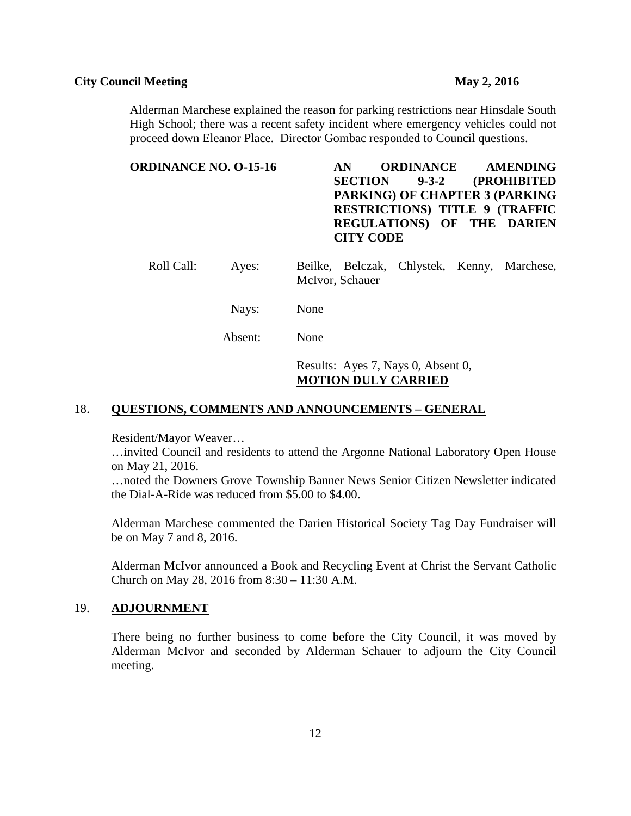Alderman Marchese explained the reason for parking restrictions near Hinsdale South High School; there was a recent safety incident where emergency vehicles could not proceed down Eleanor Place. Director Gombac responded to Council questions.

# **ORDINANCE NO. O-15-16 AN ORDINANCE AMENDING SECTION 9-3-2 (PROHIBITED PARKING) OF CHAPTER 3 (PARKING RESTRICTIONS) TITLE 9 (TRAFFIC REGULATIONS) OF THE DARIEN CITY CODE**

- Roll Call: Ayes: Beilke, Belczak, Chlystek, Kenny, Marchese, McIvor, Schauer
	- Nays: None

Absent: None

Results: Ayes 7, Nays 0, Absent 0, **MOTION DULY CARRIED**

## 18. **QUESTIONS, COMMENTS AND ANNOUNCEMENTS – GENERAL**

Resident/Mayor Weaver…

…invited Council and residents to attend the Argonne National Laboratory Open House on May 21, 2016.

…noted the Downers Grove Township Banner News Senior Citizen Newsletter indicated the Dial-A-Ride was reduced from \$5.00 to \$4.00.

Alderman Marchese commented the Darien Historical Society Tag Day Fundraiser will be on May 7 and 8, 2016.

Alderman McIvor announced a Book and Recycling Event at Christ the Servant Catholic Church on May 28, 2016 from 8:30 – 11:30 A.M.

# 19. **ADJOURNMENT**

There being no further business to come before the City Council, it was moved by Alderman McIvor and seconded by Alderman Schauer to adjourn the City Council meeting.